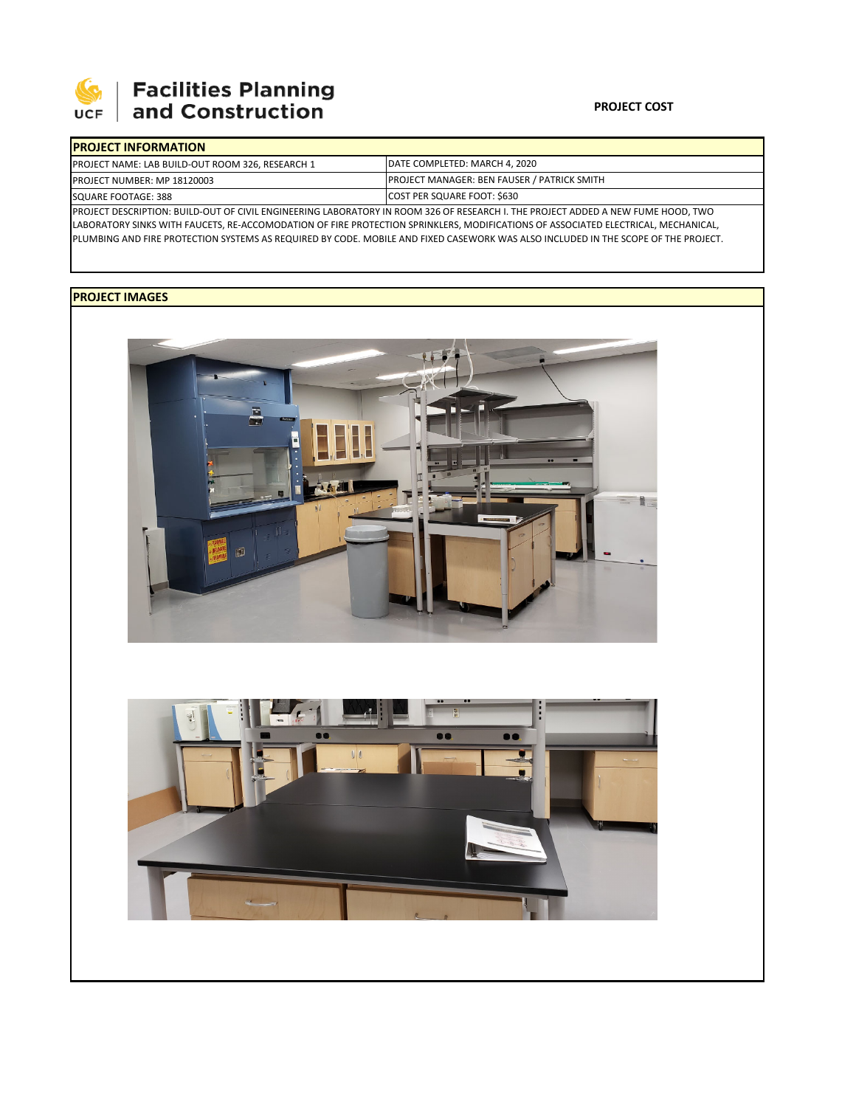

## Facilities Planning<br>and Construction

## **PROJECT COST**

| <b>IPROJECT INFORMATION</b>                                                                                                      |                                                    |  |  |  |
|----------------------------------------------------------------------------------------------------------------------------------|----------------------------------------------------|--|--|--|
| PROJECT NAME: LAB BUILD-OUT ROOM 326, RESEARCH 1                                                                                 | DATE COMPLETED: MARCH 4, 2020                      |  |  |  |
| <b>PROJECT NUMBER: MP 18120003</b>                                                                                               | <b>PROJECT MANAGER: BEN FAUSER / PATRICK SMITH</b> |  |  |  |
| SQUARE FOOTAGE: 388                                                                                                              | COST PER SQUARE FOOT: \$630                        |  |  |  |
| PROJECT DESCRIPTION: BUILD-OUT OF CIVIL ENGINEERING LABORATORY IN ROOM 326 OF RESEARCH I. THE PROJECT ADDED A NEW FUME HOOD, TWO |                                                    |  |  |  |

LABORATORY SINKS WITH FAUCETS, RE‐ACCOMODATION OF FIRE PROTECTION SPRINKLERS, MODIFICATIONS OF ASSOCIATED ELECTRICAL, MECHANICAL, PLUMBING AND FIRE PROTECTION SYSTEMS AS REQUIRED BY CODE. MOBILE AND FIXED CASEWORK WAS ALSO INCLUDED IN THE SCOPE OF THE PROJECT.

## **PROJECT IMAGES**